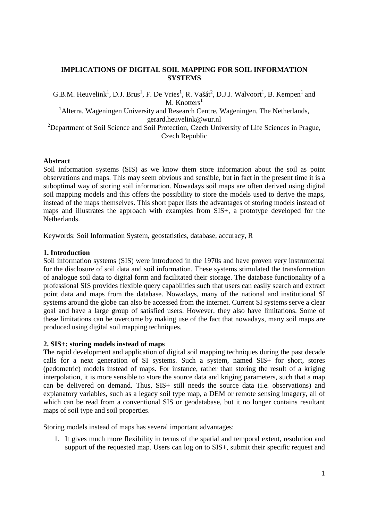# **IMPLICATIONS OF DIGITAL SOIL MAPPING FOR SOIL INFORMATION SYSTEMS**

G.B.M. Heuvelink<sup>1</sup>, D.J. Brus<sup>1</sup>, F. De Vries<sup>1</sup>, R. Vašát<sup>2</sup>, D.J.J. Walvoort<sup>1</sup>, B. Kempen<sup>1</sup> and M. Knotters $<sup>1</sup>$ </sup> <sup>1</sup> Alterra, Wageningen University and Research Centre, Wageningen, The Netherlands, gerard.heuvelink@wur.nl <sup>2</sup>Department of Soil Science and Soil Protection, Czech University of Life Sciences in Prague, Czech Republic

### **Abstract**

Soil information systems (SIS) as we know them store information about the soil as point observations and maps. This may seem obvious and sensible, but in fact in the present time it is a suboptimal way of storing soil information. Nowadays soil maps are often derived using digital soil mapping models and this offers the possibility to store the models used to derive the maps, instead of the maps themselves. This short paper lists the advantages of storing models instead of maps and illustrates the approach with examples from SIS+, a prototype developed for the Netherlands.

Keywords: Soil Information System, geostatistics, database, accuracy, R

### **1. Introduction**

Soil information systems (SIS) were introduced in the 1970s and have proven very instrumental for the disclosure of soil data and soil information. These systems stimulated the transformation of analogue soil data to digital form and facilitated their storage. The database functionality of a professional SIS provides flexible query capabilities such that users can easily search and extract point data and maps from the database. Nowadays, many of the national and institutional SI systems around the globe can also be accessed from the internet. Current SI systems serve a clear goal and have a large group of satisfied users. However, they also have limitations. Some of these limitations can be overcome by making use of the fact that nowadays, many soil maps are produced using digital soil mapping techniques.

#### **2. SIS+: storing models instead of maps**

The rapid development and application of digital soil mapping techniques during the past decade calls for a next generation of SI systems. Such a system, named SIS+ for short, stores (pedometric) models instead of maps. For instance, rather than storing the result of a kriging interpolation, it is more sensible to store the source data and kriging parameters, such that a map can be delivered on demand. Thus, SIS+ still needs the source data (i.e. observations) and explanatory variables, such as a legacy soil type map, a DEM or remote sensing imagery, all of which can be read from a conventional SIS or geodatabase, but it no longer contains resultant maps of soil type and soil properties.

Storing models instead of maps has several important advantages:

1. It gives much more flexibility in terms of the spatial and temporal extent, resolution and support of the requested map. Users can log on to SIS+, submit their specific request and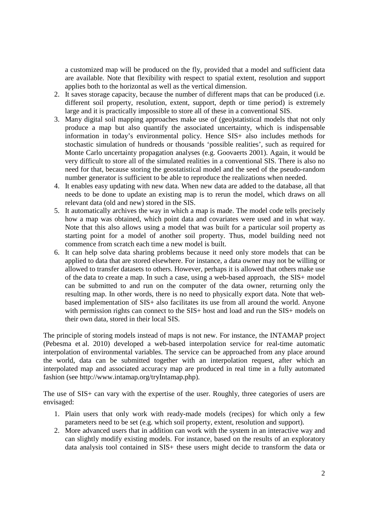a customized map will be produced on the fly, provided that a model and sufficient data are available. Note that flexibility with respect to spatial extent, resolution and support applies both to the horizontal as well as the vertical dimension.

- 2. It saves storage capacity, because the number of different maps that can be produced (i.e. different soil property, resolution, extent, support, depth or time period) is extremely large and it is practically impossible to store all of these in a conventional SIS.
- 3. Many digital soil mapping approaches make use of (geo)statistical models that not only produce a map but also quantify the associated uncertainty, which is indispensable information in today's environmental policy. Hence SIS+ also includes methods for stochastic simulation of hundreds or thousands 'possible realities', such as required for Monte Carlo uncertainty propagation analyses (e.g. Goovaerts 2001). Again, it would be very difficult to store all of the simulated realities in a conventional SIS. There is also no need for that, because storing the geostatistical model and the seed of the pseudo-random number generator is sufficient to be able to reproduce the realizations when needed.
- 4. It enables easy updating with new data. When new data are added to the database, all that needs to be done to update an existing map is to rerun the model, which draws on all relevant data (old and new) stored in the SIS.
- 5. It automatically archives the way in which a map is made. The model code tells precisely how a map was obtained, which point data and covariates were used and in what way. Note that this also allows using a model that was built for a particular soil property as starting point for a model of another soil property. Thus, model building need not commence from scratch each time a new model is built.
- 6. It can help solve data sharing problems because it need only store models that can be applied to data that are stored elsewhere. For instance, a data owner may not be willing or allowed to transfer datasets to others. However, perhaps it is allowed that others make use of the data to create a map. In such a case, using a web-based approach, the SIS+ model can be submitted to and run on the computer of the data owner, returning only the resulting map. In other words, there is no need to physically export data. Note that webbased implementation of SIS+ also facilitates its use from all around the world. Anyone with permission rights can connect to the SIS+ host and load and run the SIS+ models on their own data, stored in their local SIS.

The principle of storing models instead of maps is not new. For instance, the INTAMAP project (Pebesma et al. 2010) developed a web-based interpolation service for real-time automatic interpolation of environmental variables. The service can be approached from any place around the world, data can be submitted together with an interpolation request, after which an interpolated map and associated accuracy map are produced in real time in a fully automated fashion (see http://www.intamap.org/tryIntamap.php).

The use of SIS+ can vary with the expertise of the user. Roughly, three categories of users are envisaged:

- 1. Plain users that only work with ready-made models (recipes) for which only a few parameters need to be set (e.g. which soil property, extent, resolution and support).
- 2. More advanced users that in addition can work with the system in an interactive way and can slightly modify existing models. For instance, based on the results of an exploratory data analysis tool contained in SIS+ these users might decide to transform the data or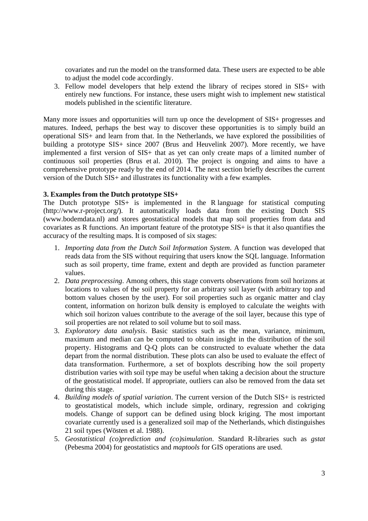covariates and run the model on the transformed data. These users are expected to be able to adjust the model code accordingly.

3. Fellow model developers that help extend the library of recipes stored in SIS+ with entirely new functions. For instance, these users might wish to implement new statistical models published in the scientific literature.

Many more issues and opportunities will turn up once the development of SIS+ progresses and matures. Indeed, perhaps the best way to discover these opportunities is to simply build an operational SIS+ and learn from that. In the Netherlands, we have explored the possibilities of building a prototype SIS+ since 2007 (Brus and Heuvelink 2007). More recently, we have implemented a first version of SIS+ that as yet can only create maps of a limited number of continuous soil properties (Brus et al. 2010). The project is ongoing and aims to have a comprehensive prototype ready by the end of 2014. The next section briefly describes the current version of the Dutch SIS+ and illustrates its functionality with a few examples.

# **3. Examples from the Dutch prototype SIS+**

The Dutch prototype SIS+ is implemented in the R language for statistical computing (http://www.r-project.org**/**). It automatically loads data from the existing Dutch SIS (www.bodemdata.nl) and stores geostatistical models that map soil properties from data and covariates as R functions. An important feature of the prototype SIS+ is that it also quantifies the accuracy of the resulting maps. It is composed of six stages:

- 1. *Importing data from the Dutch Soil Information System*. A function was developed that reads data from the SIS without requiring that users know the SQL language. Information such as soil property, time frame, extent and depth are provided as function parameter values.
- 2. *Data preprocessing*. Among others, this stage converts observations from soil horizons at locations to values of the soil property for an arbitrary soil layer (with arbitrary top and bottom values chosen by the user). For soil properties such as organic matter and clay content, information on horizon bulk density is employed to calculate the weights with which soil horizon values contribute to the average of the soil layer, because this type of soil properties are not related to soil volume but to soil mass.
- 3. *Exploratory data analysis*. Basic statistics such as the mean, variance, minimum, maximum and median can be computed to obtain insight in the distribution of the soil property. Histograms and Q-Q plots can be constructed to evaluate whether the data depart from the normal distribution. These plots can also be used to evaluate the effect of data transformation. Furthermore, a set of boxplots describing how the soil property distribution varies with soil type may be useful when taking a decision about the structure of the geostatistical model. If appropriate, outliers can also be removed from the data set during this stage.
- 4. *Building models of spatial variation*. The current version of the Dutch SIS+ is restricted to geostatistical models, which include simple, ordinary, regression and cokriging models. Change of support can be defined using block kriging. The most important covariate currently used is a generalized soil map of the Netherlands, which distinguishes 21 soil types (Wösten et al. 1988).
- 5. *Geostatistical (co)prediction and (co)simulation*. Standard R-libraries such as *gstat* (Pebesma 2004) for geostatistics and *maptools* for GIS operations are used.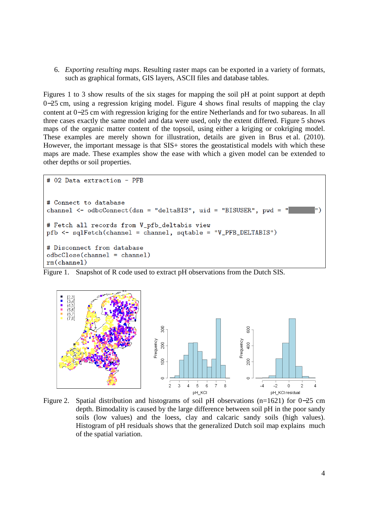6. *Exporting resulting maps*. Resulting raster maps can be exported in a variety of formats, such as graphical formats, GIS layers, ASCII files and database tables.

Figures 1 to 3 show results of the six stages for mapping the soil pH at point support at depth 0−25 cm, using a regression kriging model. Figure 4 shows final results of mapping the clay content at 0−25 cm with regression kriging for the entire Netherlands and for two subareas. In all three cases exactly the same model and data were used, only the extent differed. Figure 5 shows maps of the organic matter content of the topsoil, using either a kriging or cokriging model. These examples are merely shown for illustration, details are given in Brus et al. (2010). However, the important message is that SIS+ stores the geostatistical models with which these maps are made. These examples show the ease with which a given model can be extended to other depths or soil properties.

```
# 02 Data extraction - PFB
# Connect to database
channel <- odbcConnect(dsn = "deltaBIS", uid = "BISUSER", pwd =
# Fetch all records from V_pfb_deltabis view
pfb <- sqlFetch(channel = channel, sqtable = "V_PFB_DELTABIS")
# Disconnect from database
odbcClose(channel = channel)rm(channel)
```
Figure 1. Snapshot of R code used to extract pH observations from the Dutch SIS.



Figure 2. Spatial distribution and histograms of soil pH observations (n=1621) for 0−25 cm depth. Bimodality is caused by the large difference between soil pH in the poor sandy soils (low values) and the loess, clay and calcaric sandy soils (high values). Histogram of pH residuals shows that the generalized Dutch soil map explains much of the spatial variation.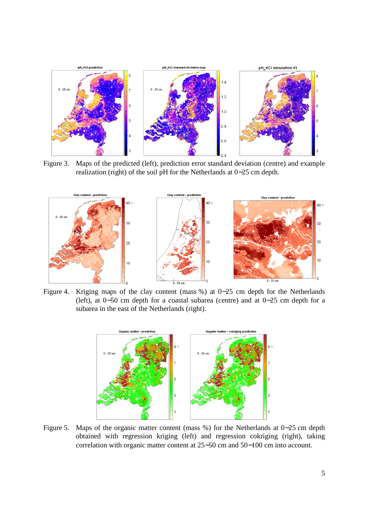

Figure 3. Maps of the predicted (left), prediction error standard deviation (centre) and example realization (right) of the soil pH for the Netherlands at 0−25 cm depth.



Figure 4. Kriging maps of the clay content (mass %) at 0−25 cm depth for the Netherlands (left), at 0−50 cm depth for a coastal subarea (centre) and at 0−25 cm depth for a subarea in the east of the Netherlands (right).



Figure 5. Maps of the organic matter content (mass %) for the Netherlands at 0−25 cm depth obtained with regression kriging (left) and regression cokriging (right), taking correlation with organic matter content at 25−50 cm and 50−100 cm into account.